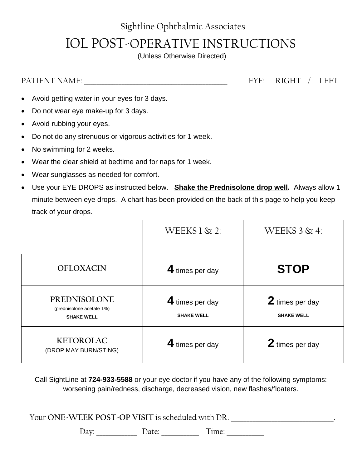# Sightline Ophthalmic Associates IOL POST-OPERATIVE INSTRUCTIONS (Unless Otherwise Directed)

PATIENT NAME: \_\_\_\_\_\_\_\_\_\_\_\_\_\_\_\_\_\_\_\_\_\_\_\_\_\_\_\_\_\_\_\_\_\_\_\_\_\_\_\_\_\_\_\_\_\_ EYE: RIGHT / LEFT

- Avoid getting water in your eyes for 3 days.
- Do not wear eye make-up for 3 days.
- Avoid rubbing your eyes.
- Do not do any strenuous or vigorous activities for 1 week.
- No swimming for 2 weeks.
- Wear the clear shield at bedtime and for naps for 1 week.
- Wear sunglasses as needed for comfort.
- Use your EYE DROPS as instructed below. **Shake the Prednisolone drop well.** Always allow 1 minute between eye drops. A chart has been provided on the back of this page to help you keep track of your drops.

|                                                                | WEEKS $1 \& 2$ :                     | WEEKS $3 \& 4$ :                     |
|----------------------------------------------------------------|--------------------------------------|--------------------------------------|
| <b>OFLOXACIN</b>                                               | 4 times per day                      | <b>STOP</b>                          |
| PREDNISOLONE<br>(prednisolone acetate 1%)<br><b>SHAKE WELL</b> | 4 times per day<br><b>SHAKE WELL</b> | 2 times per day<br><b>SHAKE WELL</b> |
| <b>KETOROLAC</b><br>(DROP MAY BURN/STING)                      | 4 times per day                      | 2 times per day                      |

Call SightLine at **724-933-5588** or your eye doctor if you have any of the following symptoms: worsening pain/redness, discharge, decreased vision, new flashes/floaters.

Your ONE-WEEK POST-OP VISIT is scheduled with DR.

Day: \_\_\_\_\_\_\_\_\_\_\_\_\_ Date: \_\_\_\_\_\_\_\_\_\_\_\_ Time: \_\_\_\_\_\_\_\_\_\_\_\_